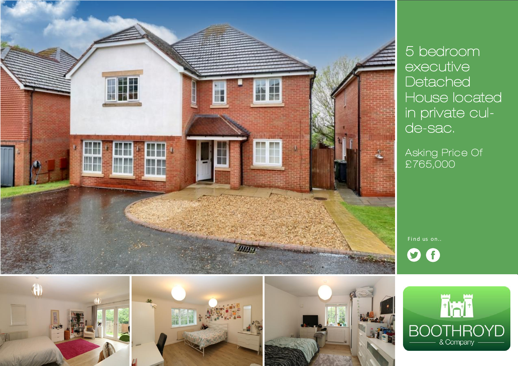



*Asking Price Of £765,000* 

Find us on..  $\boldsymbol{0}$ 







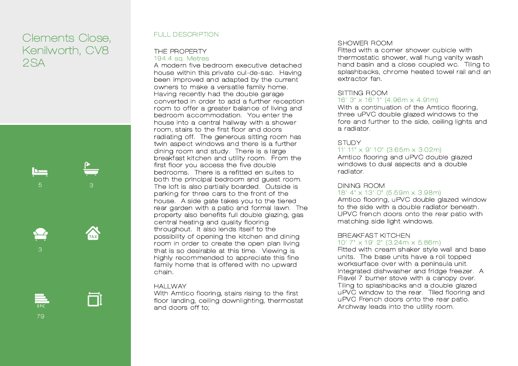# *Clements Close, Kenilworth, CV8 2SA*



*79* 

## *FULL DESCRIPTION*

# *THE PROPERTY*

*194.4 sq. Metres* 

*A mode rn five be droom executive det ache d house within this private cul-de-s ac. Having been improved an d adapted by the current owners to make a vers atile family home . Having recently h ad the dou ble garage converted in order to add a further re ception*  room to offer a greater balance of living and bedroom accommodation. You enter the *house into a central hallway with a showe r room, st airs to the first floor an d doors radi ating off. The generous sitting room has*  twin aspect windows and there is a further *dining room and study. There is a large breakf ast kit chen and utility room. From the first floor you access the five dou ble*  bedrooms. There is a refitted en suites to *both the principal bedroom and guest room. The loft is also parti ally boarded. Outside is*  parking for three cars to the front of the house. A side gate takes you to the tiered *re ar garden with a patio and formal lawn. The property also benefits full double glazin g, gas central heatin g and quality floorin g throughout . It also len ds itsel f to the possibility of opening the kitchen an d dining room in order to cre ate the open plan living th at is so desirable at this time. Viewing is highly recommended to appreci ate this fine*  family home that is offered with no upward *chain.* 

#### *HALLW AY*

*With Amtico floorin g, st airs rising to the first floor landin g, ceiling downli ghting, thermostat and doors off to;* 

# *S HOWER ROOM*

*Fitte d with a corner shower cu bicle with thermost atic shower, wall hun g vanity wash*  h and basin and a close coupled wc. Tiling to *splashbacks, chrome heate d towel rail an d an extractor fan.* 

# *SI TTI NG ROOM*

## *16' 3" x 16' 1" (4.96m x 4.91m)*

*With a continu ation of the Amtico flooring,*  three uPVC double glazed windows to the *fore an d further to the side, ceiling lights and a radi ator.* 

# *S TUD Y*

# *11' 11" x 9' 1 0" (3.65m x 3.02m)*

Amtico flooring and uPVC double glazed windows to dual aspects and a double *radi ator.* 

# **DINING ROOM**

#### *18' 4" x 13' 0" (5.59m x 3.98m)*

*Amti co flooring, u PVC double glazed window*  to the side with a double radiator beneath. *UPVC fren ch doors onto the re ar patio with mat ching side light windows.* 

# *BREAKFAS T KI TCHEN*

#### *10' 7" x 1 9' 2" (3.24m x 5.86m)*

Fitted with cream shaker style wall and base *units. The base units have a roll toppe d*  worksurface over with a peninsula unit. Integrated dishwasher and fridge freezer. A Flavel 7 burner stove with a canopy over. *Tiling to splashbacks an d a double glaze d u PVC window to the re ar. Tiled flooring and u PVC Fren ch doors onto the re ar patio. Archway leads into the utility room.*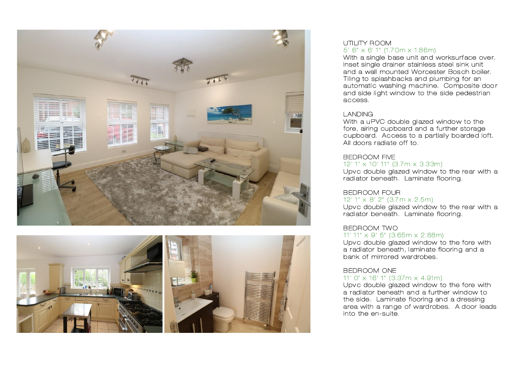



#### UTILITY ROOM *5' 6" x 6' 1" (1.7 0m x 1.86m)*

With a single base unit and worksurface over. *Inset single drainer stainless steel sink unit and a wall mounted Worcester Bos ch boiler. Tiling to splashbacks an d plu mbing for an*  automatic washing machine. Composite door and side light window to the side pedestrian *access.* 

## *LANDING*

With a uPVC double glazed window to the *fore , airing cupboard and a further storage cupboard. Access to a partially boarde d loft. All doors radiate off to .* 

#### *BEDROOM FIVE 12' 1" x 10' 11" (3.7m x 3.33m)*

Upvc double glazed window to the rear with a *radi ator beneath . Laminate flooring.* 

# *BEDROOM FOUR*

*12' 1" x 8' 2" (3.7 m x 2.5m)* 

Upvc double glazed window to the rear with a *radi ator beneath . Laminate flooring.* 

# **BEDROOM TWO** *11' 11" x 9' 5" (3.65m x 2.88m)*

*Upvc double glazed window to the fore with a radi ator beneath , l amin ate floorin g and a bank of mirrored wardrobes .* 

#### *BEDROOM ONE 11' 0" x 16' 1" (3.37m x 4.91m)*

*Upvc double glazed window to the fore with*  a radiator beneath and a further window to *the side . Laminate flooring an d a dressing area with a ran ge of wardrobes. A door leads into the en-suite.*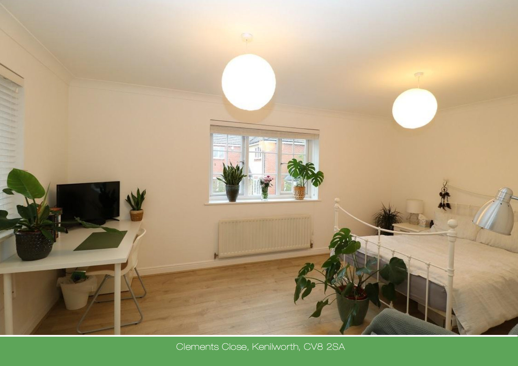

Clements Close, Kenilworth, CV8 2SA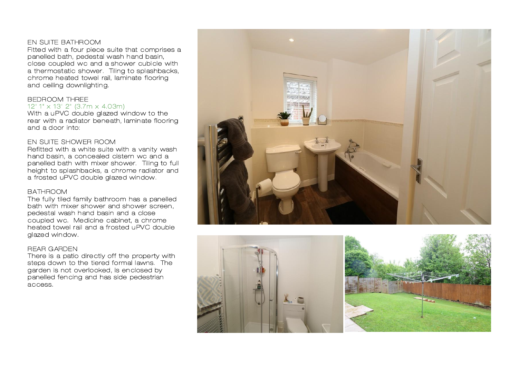#### *EN SUI TE BATHROOM*

*Fitte d with a four piece suite that comprises a*  panelled bath, pedestal wash hand basin, *close coupled wc and a shower cubi cle with*  a thermostatic shower. Tiling to splashbacks, *chrome he ated towel rail, laminate flooring and ceiling downlightin g.* 

## *BEDROOM THREE 12' 1" x 13' 2" (3.7m x 4.03m)*

With a uPVC double glazed window to the re ar with a radiator beneath, laminate flooring *and a door into:* 

#### *EN SUI TE SHOW ER ROOM*

*Refitted with a white suite with a vanity wash h and basin, a con ce aled cistern wc an d a panelled bath with mixer shower. Tiling to full height to spl ashbacks, a chrome radi ator and a frosted uPVC double gl aze d win dow.* 

#### *BATHROOM*

*The fully tiled family bathroom has a panelled bath with mixer shower and shower screen , pedest al wash h and basin and a close coupled wc. Me dicine cabinet, a chrome he ated t owel rail and a frosted u PVC double gl aze d win dow.* 

#### *REAR G ARDEN*

*There is a patio dire ctly off the prope rty with*  steps down to the tiered formal lawns. The *garden is not overlooked, is en closed by panelled fen cing and has side pedestrian access.*